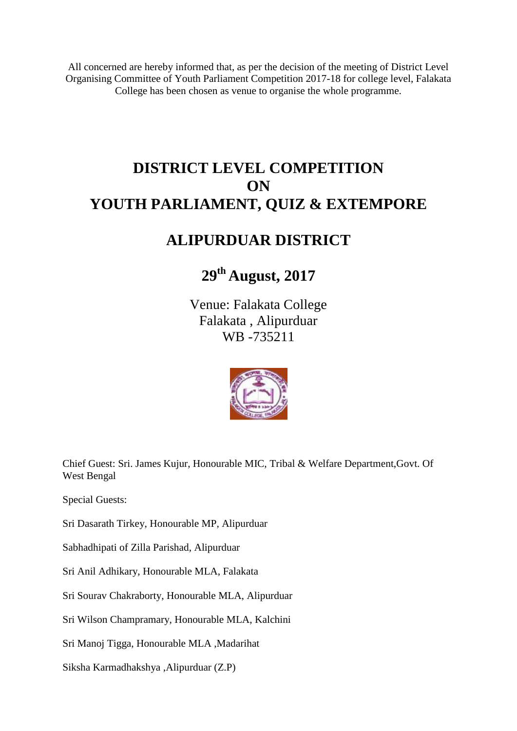All concerned are hereby informed that, as per the decision of the meeting of District Level Organising Committee of Youth Parliament Competition 2017-18 for college level, Falakata College has been chosen as venue to organise the whole programme.

# **DISTRICT LEVEL COMPETITION ON YOUTH PARLIAMENT, QUIZ & EXTEMPORE**

## **ALIPURDUAR DISTRICT**

# **29th August, 2017**

Venue: Falakata College Falakata , Alipurduar WB -735211



Chief Guest: Sri. James Kujur, Honourable MIC, Tribal & Welfare Department,Govt. Of West Bengal

Special Guests:

Sri Dasarath Tirkey, Honourable MP, Alipurduar

Sabhadhipati of Zilla Parishad, Alipurduar

Sri Anil Adhikary, Honourable MLA, Falakata

Sri Sourav Chakraborty, Honourable MLA, Alipurduar

Sri Wilson Champramary, Honourable MLA, Kalchini

Sri Manoj Tigga, Honourable MLA ,Madarihat

Siksha Karmadhakshya ,Alipurduar (Z.P)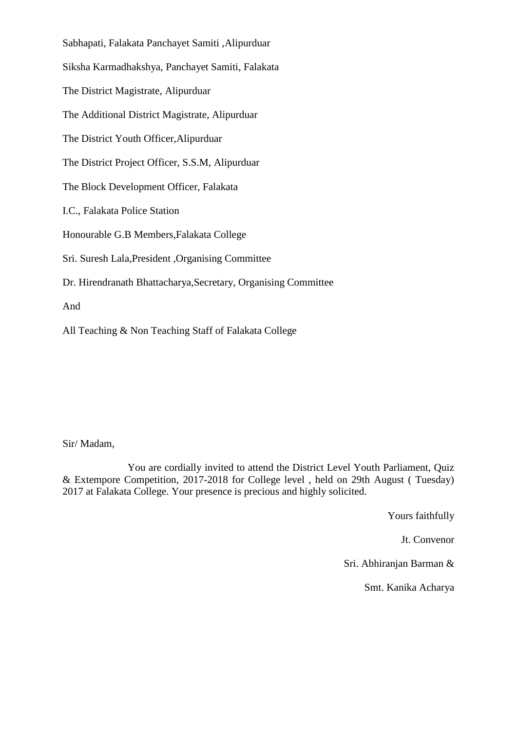Sabhapati, Falakata Panchayet Samiti ,Alipurduar Siksha Karmadhakshya, Panchayet Samiti, Falakata The District Magistrate, Alipurduar The Additional District Magistrate, Alipurduar The District Youth Officer,Alipurduar The District Project Officer, S.S.M, Alipurduar The Block Development Officer, Falakata I.C., Falakata Police Station Honourable G.B Members,Falakata College Sri. Suresh Lala,President ,Organising Committee Dr. Hirendranath Bhattacharya,Secretary, Organising Committee And

All Teaching & Non Teaching Staff of Falakata College

Sir/ Madam,

 You are cordially invited to attend the District Level Youth Parliament, Quiz & Extempore Competition, 2017-2018 for College level , held on 29th August ( Tuesday) 2017 at Falakata College. Your presence is precious and highly solicited.

Yours faithfully

Jt. Convenor

Sri. Abhiranjan Barman &

Smt. Kanika Acharya